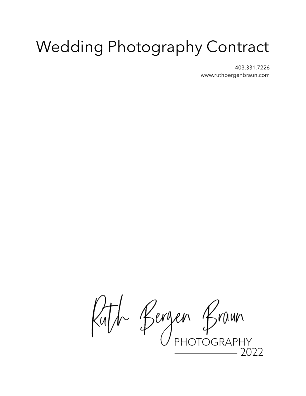# Wedding Photography Contract

403.331.7226 [www.ruthbergenbraun.com](http://www.ruthbergenbraun.com)

Ruth Bergen Braun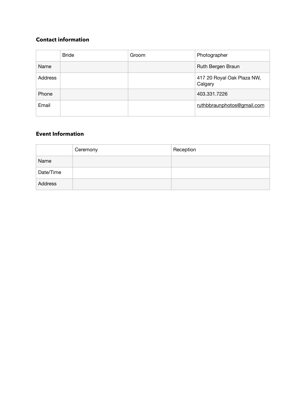# **Contact information**

|         | <b>Bride</b> | Groom | Photographer                          |
|---------|--------------|-------|---------------------------------------|
| Name    |              |       | Ruth Bergen Braun                     |
| Address |              |       | 417 20 Royal Oak Plaza NW,<br>Calgary |
| Phone   |              |       | 403.331.7226                          |
| Email   |              |       | ruthbbraunphotos@gmail.com            |

# **Event Information**

|           | Ceremony | Reception |
|-----------|----------|-----------|
| Name      |          |           |
| Date/Time |          |           |
| Address   |          |           |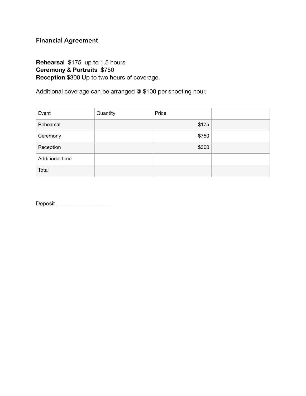# **Financial Agreement**

# **Rehearsal** \$175 up to 1.5 hours **Ceremony & Portraits** \$750 **Reception** \$300 Up to two hours of coverage.

Additional coverage can be arranged @ \$100 per shooting hour.

| Event           | Quantity | Price |  |
|-----------------|----------|-------|--|
| Rehearsal       |          | \$175 |  |
| Ceremony        |          | \$750 |  |
| Reception       |          | \$300 |  |
| Additional time |          |       |  |
| Total           |          |       |  |

Deposit \_\_\_\_\_\_\_\_\_\_\_\_\_\_\_\_\_\_\_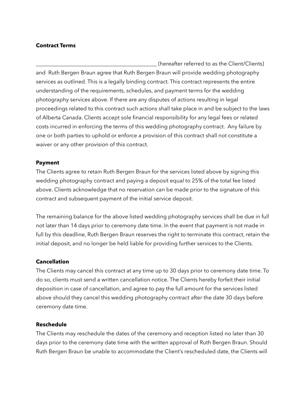## **Contract Terms**

\_\_\_\_\_\_\_\_\_\_\_\_\_\_\_\_\_\_\_\_\_\_\_\_\_\_\_\_\_\_\_\_\_\_\_\_\_\_\_\_\_\_\_\_ (hereafter referred to as the Client/Clients) and Ruth Bergen Braun agree that Ruth Bergen Braun will provide wedding photography services as outlined. This is a legally binding contract. This contract represents the entire understanding of the requirements, schedules, and payment terms for the wedding photography services above. If there are any disputes of actions resulting in legal proceedings related to this contract such actions shall take place in and be subject to the laws of Alberta Canada. Clients accept sole financial responsibility for any legal fees or related costs incurred in enforcing the terms of this wedding photography contract. Any failure by one or both parties to uphold or enforce a provision of this contract shall not constitute a waiver or any other provision of this contract.

## **Payment**

The Clients agree to retain Ruth Bergen Braun for the services listed above by signing this wedding photography contract and paying a deposit equal to 25% of the total fee listed above. Clients acknowledge that no reservation can be made prior to the signature of this contract and subsequent payment of the initial service deposit.

The remaining balance for the above listed wedding photography services shall be due in full not later than 14 days prior to ceremony date time. In the event that payment is not made in full by this deadline, Ruth Bergen Braun reserves the right to terminate this contract, retain the initial deposit, and no longer be held liable for providing further services to the Clients.

# **Cancellation**

The Clients may cancel this contract at any time up to 30 days prior to ceremony date time. To do so, clients must send a written cancellation notice. The Clients hereby forfeit their initial deposition in case of cancellation, and agree to pay the full amount for the services listed above should they cancel this wedding photography contract after the date 30 days before ceremony date time.

## **Reschedule**

The Clients may reschedule the dates of the ceremony and reception listed no later than 30 days prior to the ceremony date time with the written approval of Ruth Bergen Braun. Should Ruth Bergen Braun be unable to accommodate the Client's rescheduled date, the Clients will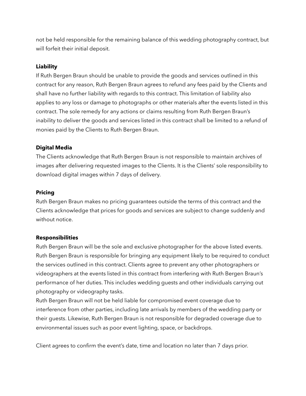not be held responsible for the remaining balance of this wedding photography contract, but will forfeit their initial deposit.

# **Liability**

If Ruth Bergen Braun should be unable to provide the goods and services outlined in this contract for any reason, Ruth Bergen Braun agrees to refund any fees paid by the Clients and shall have no further liability with regards to this contract. This limitation of liability also applies to any loss or damage to photographs or other materials after the events listed in this contract. The sole remedy for any actions or claims resulting from Ruth Bergen Braun's inability to deliver the goods and services listed in this contract shall be limited to a refund of monies paid by the Clients to Ruth Bergen Braun.

# **Digital Media**

The Clients acknowledge that Ruth Bergen Braun is not responsible to maintain archives of images after delivering requested images to the Clients. It is the Clients' sole responsibility to download digital images within 7 days of delivery.

## **Pricing**

Ruth Bergen Braun makes no pricing guarantees outside the terms of this contract and the Clients acknowledge that prices for goods and services are subject to change suddenly and without notice.

## **Responsibilities**

Ruth Bergen Braun will be the sole and exclusive photographer for the above listed events. Ruth Bergen Braun is responsible for bringing any equipment likely to be required to conduct the services outlined in this contract. Clients agree to prevent any other photographers or videographers at the events listed in this contract from interfering with Ruth Bergen Braun's performance of her duties. This includes wedding guests and other individuals carrying out photography or videography tasks.

Ruth Bergen Braun will not be held liable for compromised event coverage due to interference from other parties, including late arrivals by members of the wedding party or their guests. Likewise, Ruth Bergen Braun is not responsible for degraded coverage due to environmental issues such as poor event lighting, space, or backdrops.

Client agrees to confirm the event's date, time and location no later than 7 days prior.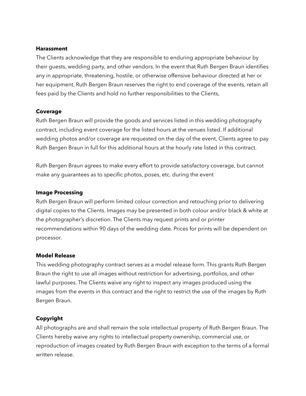#### **Harassment**

The Clients acknowledge that they are responsible to enduring appropriate behaviour by their guests, wedding party, and other vendors. In the event that Ruth Bergen Braun identifies any in appropriate, threatening, hostile, or otherwise offensive behaviour directed at her or her equipment, Ruth Bergen Braun reserves the right to end coverage of the events, retain all fees paid by the Clients and hold no further responsibilities to the Clients,

# **Coverage**

Ruth Bergen Braun will provide the goods and services listed in this wedding photography contract, including event coverage for the listed hours at the venues listed. If additional wedding photos and/or coverage are requested on the day of the event, Clients agree to pay Ruth Bergen Braun in full for this additional hours at the hourly rate listed in this contract.

Ruth Bergen Braun agrees to make every effort to provide satisfactory coverage, but cannot make any guarantees as to specific photos, poses, etc. during the event

## **Image Processing**

Ruth Bergen Braun will perform limited colour correction and retouching prior to delivering digital copies to the Clients. Images may be presented in both colour and/or black & white at the photographer's discretion. The Clients may request prints and or printer recommendations within 90 days of the wedding date. Prices for prints will be dependent on processor.

## **Model Release**

This wedding photography contract serves as a model release form. This grants Ruth Bergen Braun the right to use all images without restriction for advertising, portfolios, and other lawful purposes. The Clients waive any right to inspect any images produced using the images from the events in this contract and the right to restrict the use of the images by Ruth Bergen Braun.

## **Copyright**

All photographs are and shall remain the sole intellectual property of Ruth Bergen Braun. The Clients hereby waive any rights to intellectual property ownership, commercial use, or reproduction of images created by Ruth Bergen Braun with exception to the terms of a formal written release.